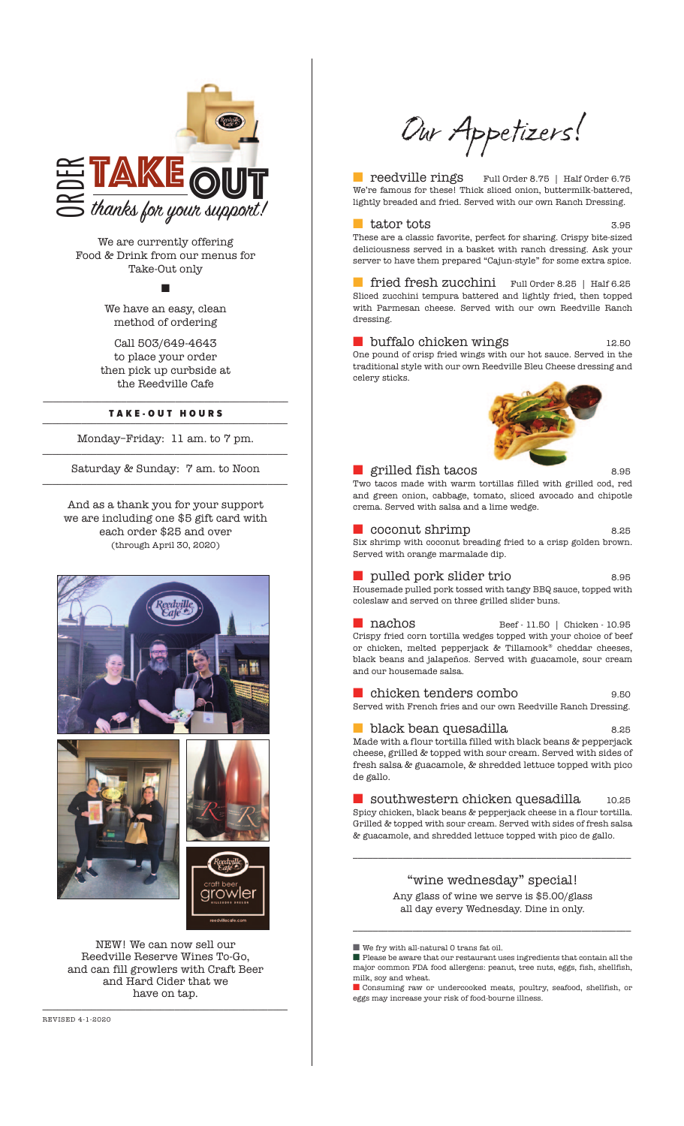

We are currently offering Food & Drink from our menus for Take-Out only

n

We have an easy, clean method of ordering

Call 503/649-4643 to place your order then pick up curbside at the Reedville Cafe

#### \_\_\_\_\_\_\_\_\_\_\_\_\_\_\_\_\_\_\_\_\_\_\_\_\_\_\_\_\_\_\_\_\_\_\_\_\_\_\_\_\_\_\_\_\_\_\_\_\_\_ TAKE-OUT HOURS

Monday–Friday: 11 am. to 7 pm. \_\_\_\_\_\_\_\_\_\_\_\_\_\_\_\_\_\_\_\_\_\_\_\_\_\_\_\_\_\_\_\_\_\_\_\_\_\_\_\_\_\_\_\_\_\_\_\_\_\_

Saturday & Sunday: 7 am. to Noon \_\_\_\_\_\_\_\_\_\_\_\_\_\_\_\_\_\_\_\_\_\_\_\_\_\_\_\_\_\_\_\_\_\_\_\_\_\_\_\_\_\_\_\_\_\_\_\_\_\_

And as a thank you for your support we are including one \$5 gift card with each order \$25 and over (through April 30, 2020)







NEW! We can now sell our Reedville Reserve Wines To-Go, and can fill growlers with Craft Beer and Hard Cider that we have on tap.

\_\_\_\_\_\_\_\_\_\_\_\_\_\_\_\_\_\_\_\_\_\_\_\_\_\_\_\_\_\_\_\_\_\_\_\_\_\_\_\_\_\_\_\_\_\_\_\_\_\_

Our Appetizers!

■ reedville rings Full Order 8.75 | Half Order 6.75 We're famous for these! Thick sliced onion, buttermilk-battered, lightly breaded and fried. Served with our own Ranch Dressing.

#### tator tots 3.95

These are a classic favorite, perfect for sharing. Crispy bite-sized deliciousness served in a basket with ranch dressing. Ask your server to have them prepared "Cajun-style" for some extra spice.

■ fried fresh zucchini Full Order 8.25 | Half 6.25 Sliced zucchini tempura battered and lightly fried, then topped with Parmesan cheese. Served with our own Reedville Ranch dressing.

■ buffalo chicken wings 12.50 One pound of crisp fried wings with our hot sauce. Served in the

traditional style with our own Reedville Bleu Cheese dressing and celery sticks.



■ grilled fish tacos 8.95 Two tacos made with warm tortillas filled with grilled cod, red and green onion, cabbage, tomato, sliced avocado and chipotle crema. Served with salsa and a lime wedge.

■ coconut shrimp 8.25 Six shrimp with coconut breading fried to a crisp golden brown. Served with orange marmalade dip.

■ pulled pork slider trio 8.95 Housemade pulled pork tossed with tangy BBQ sauce, topped with coleslaw and served on three grilled slider buns.

■ nachos Beef - 11.50 | Chicken - 10.95 Crispy fried corn tortilla wedges topped with your choice of beef or chicken, melted pepperjack & Tillamook® cheddar cheeses, black beans and jalapeños. Served with guacamole, sour cream and our housemade salsa.

■ chicken tenders combo 9.50 Served with French fries and our own Reedville Ranch Dressing.

■ black bean quesadilla 8.25 Made with a flour tortilla filled with black beans & pepperjack cheese, grilled & topped with sour cream. Served with sides of fresh salsa & guacamole, & shredded lettuce topped with pico de gallo.

■ southwestern chicken quesadilla 10.25 Spicy chicken, black beans & pepperjack cheese in a flour tortilla. Grilled & topped with sour cream. Served with sides of fresh salsa & guacamole, and shredded lettuce topped with pico de gallo.

> "wine wednesday" special! Any glass of wine we serve is \$5.00/glass all day every Wednesday. Dine in only.

\_\_\_\_\_\_\_\_\_\_\_\_\_\_\_\_\_\_\_\_\_\_\_\_\_\_\_\_\_\_\_\_\_\_\_\_\_\_\_\_\_\_\_\_\_\_\_\_\_\_\_\_\_\_\_\_

\_\_\_\_\_\_\_\_\_\_\_\_\_\_\_\_\_\_\_\_\_\_\_\_\_\_\_\_\_\_\_\_\_\_\_\_\_\_\_\_\_\_\_\_\_\_\_\_\_\_\_\_\_\_\_\_

■ We fry with all-natural 0 trans fat oil.

■ Please be aware that our restaurant uses ingredients that contain all the major common FDA food allergens: peanut, tree nuts, eggs, fish, shellfish, milk, soy and wheat.

■ Consuming raw or undercooked meats, poultry, seafood, shellfish, or eggs may increase your risk of food-bourne illness.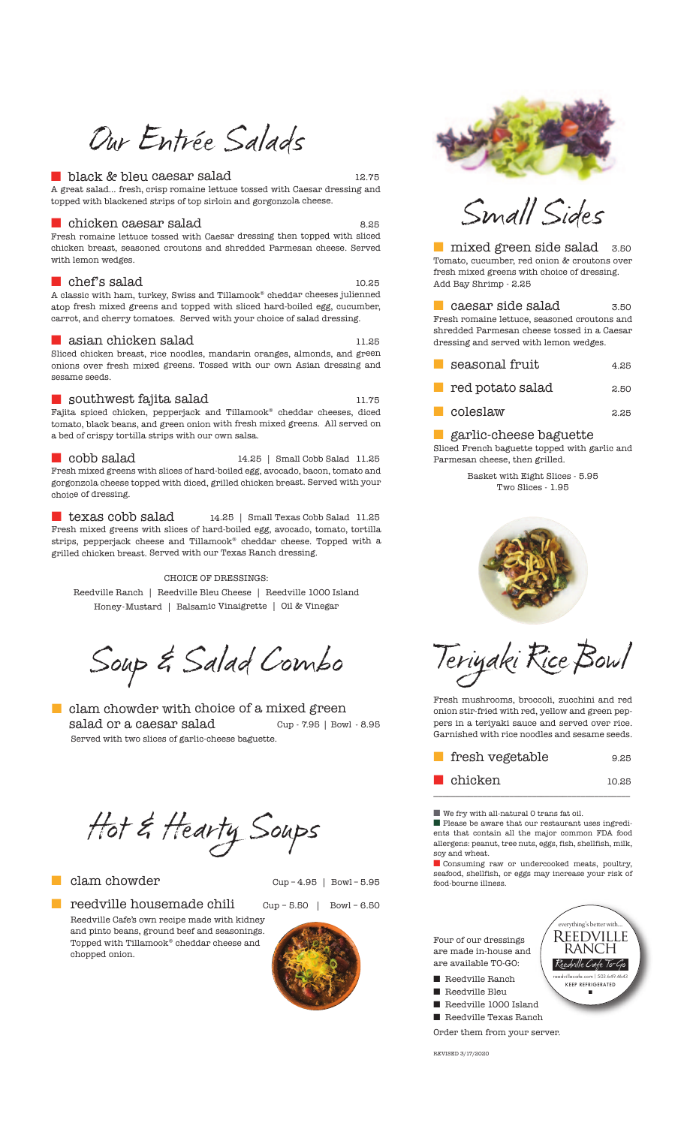## Our Entrée Salads

#### ■ black & bleu caesar salad 12.75

A great salad... fresh, crisp romaine lettuce tossed with Caesar dressing and topped with blackened strips of top sirloin and gorgonzola cheese.

#### ■chicken caesar salad 8.25

Fresh romaine lettuce tossed with Caesar dressing then topped with sliced chicken breast, seasoned croutons and shredded Parmesan cheese. Served with lemon wedges.

#### $\blacksquare$  chef's salad  $_{10.25}$

 ${\bf A}$  classic with ham, turkey, Swiss and Tillamook® cheddar cheeses julienned atop fresh mixed greens and topped with sliced hard-boiled egg, cucumber, carrot, and cherry tomatoes. Served with your choice of salad dressing.

#### ■ asian chicken salad 11.25

Sliced chicken breast, rice noodles, mandarin oranges, almonds, and green onions over fresh mixed greens. Tossed with our own Asian dressing and sesame seeds.

#### $\blacksquare$  southwest fajita salad  $_{11.75}$

Fajita spiced chicken, pepperjack and Tillamook® cheddar cheeses, diced tomato, black beans, and green onion with fresh mixed greens. All served on a bed of crispy tortilla strips with our own salsa.

■ cobb salad cobb salad 14.25 | Small Cobb Salad 11.25 Fresh mixed greens with slices of hard-boiled egg, avocado, bacon, tomato and gorgonzola cheese topped with diced, grilled chicken breast. Served with your choice of dressing.

texas cobb salad texas cobb salad 14.25 | Small Texas Cobb Salad 11.25 Fresh mixed greens with slices of hard-boiled egg, avocado, tomato, tortilla strips, pepperjack cheese and Tillamook® cheddar cheese. Topped with a grilled chicken breast. Served with our Texas Ranch dressing.

CHOICE OF DRESSINGS: Reedville Ranch | Reedville Bleu Cheese | Reedville 1000 Island Honey-Mustard | Balsamic Vinaigrette | Oil & Vinegar

Soup & Salad Combo

 $\blacksquare$  clam chowder with choice of a mixed green salad or a caesar salad Cup - 7.95 | Bowl - 8.95 Served with two slices of garlic-cheese baguette.

Hot & Hearty Soups

#### ■ clam chowder Cup-4.95 | Bowl-5.95







Small Sides

■ mixed green side salad 3.50 Tomato, cucumber, red onion & croutons over fresh mixed greens with choice of dressing. Add Bay Shrimp - 2.25

■ caesar side salad 3.50 Fresh romaine lettuce, seasoned croutons and shredded Parmesan cheese tossed in a Caesar dressing and served with lemon wedges.

| seasonal fruit | 4.25 |
|----------------|------|
|                |      |

■ red potato salad 2.50

■ coleslaw a.a5

#### garlic-cheese baguette

Sliced French baguette topped with garlic and Parmesan cheese, then grilled.

> Basket with Eight Slices - 5.95 Two Slices - 1.95



Teriyaki RiceBowl

Fresh mushrooms, broccoli, zucchini and red onion stir-fried with red, yellow and green peppers in a teriyaki sauce and served over rice. Garnished with rice noodles and sesame seeds.

| fresh vegetable  | 9.25  |
|------------------|-------|
| <b>l</b> chicken | 10.25 |

\_\_\_\_\_\_\_\_\_\_\_\_\_\_\_\_\_\_\_\_\_\_\_\_\_\_\_\_\_\_\_\_\_\_\_\_\_\_\_\_\_\_\_\_

 $\blacksquare$  <br> We fry with all-natural  $0$  trans fat oil.

■ Please be aware that our restaurant uses ingredients that contain all the major common FDA food allergens: peanut, tree nuts, eggs, fish, shellfish, milk, soy and wheat.

■ Consuming raw or undercooked meats, poultry, seafood, shellfish, or eggs may increase your risk of food-bourne illness.



Order them from your server.

REVISED 3/17/2020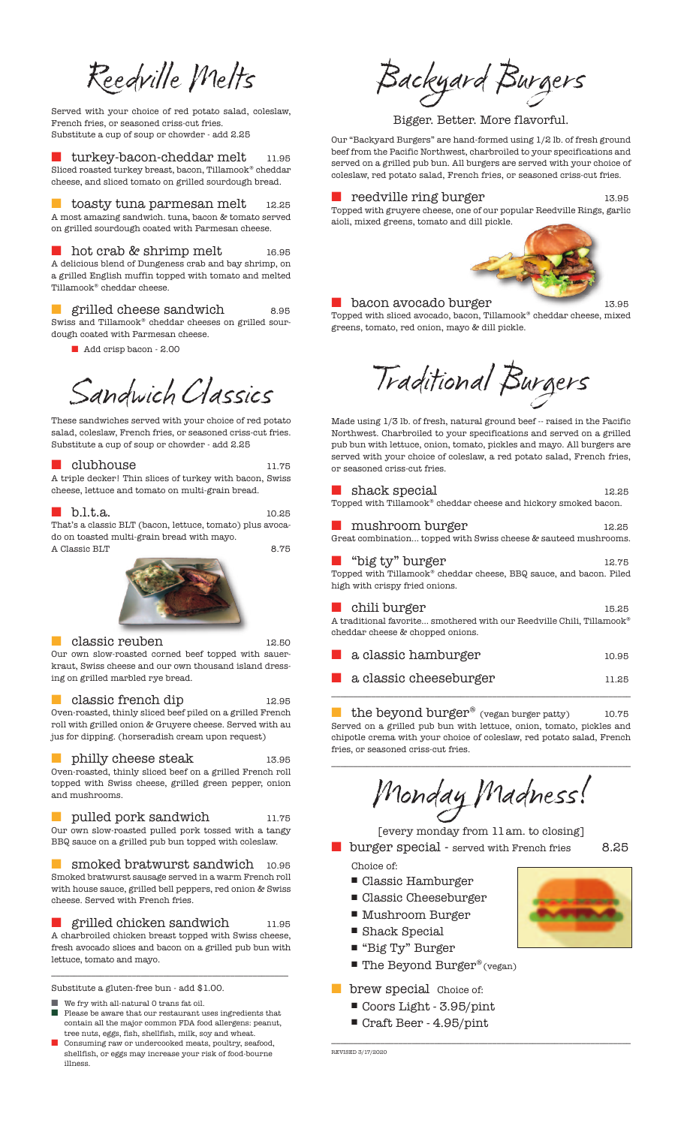Reedville Melts

Served with your choice of red potato salad, coleslaw, French fries, or seasoned criss-cut fries. Substitute a cup of soup or chowder - add 2.25

turkey-bacon-cheddar melt 11.95 Sliced roasted turkey breast, bacon, Tillamook® cheddar cheese, and sliced tomato on grilled sourdough bread.

toasty tuna parmesan melt 12.25 A most amazing sandwich. tuna, bacon & tomato served on grilled sourdough coated with Parmesan cheese.

hot crab & shrimp melt 16.95 A delicious blend of Dungeness crab and bay shrimp, on a grilled English muffin topped with tomato and melted Tillamook® cheddar cheese.

■ grilled cheese sandwich 8.95 Swiss and Tillamook® cheddar cheeses on grilled sourdough coated with Parmesan cheese.

Add crisp bacon - 2.00

Sandwich Classics

These sandwiches served with your choice of red potato salad, coleslaw, French fries, or seasoned criss-cut fries. Substitute a cup of soup or chowder - add 2.25

#### clubhouse 11.75

A triple decker! Thin slices of turkey with bacon, Swiss cheese, lettuce and tomato on multi-grain bread.

#### ■ b.l.t.a. 10.25

That's a classic BLT (bacon, lettuce, tomato) plus avocado on toasted multi-grain bread with mayo. A Classic BLT 8.75



#### ■ classic reuben 12.50

Our own slow-roasted corned beef topped with sauerkraut, Swiss cheese and our own thousand island dressing on grilled marbled rye bread.

classic french dip 12.95 Oven-roasted, thinly sliced beef piled on a grilled French roll with grilled onion & Gruyere cheese. Served with au jus for dipping. (horseradish cream upon request)

## ■ philly cheese steak 13.95

Oven-roasted, thinly sliced beef on a grilled French roll topped with Swiss cheese, grilled green pepper, onion and mushrooms.

pulled pork sandwich 11.75 Our own slow-roasted pulled pork tossed with a tangy BBQ sauce on a grilled pub bun topped with coleslaw.

smoked bratwurst sandwich 10.95 Smoked bratwurst sausage served in a warm French roll with house sauce, grilled bell peppers, red onion & Swiss cheese. Served with French fries.

grilled chicken sandwich 11.95 A charbroiled chicken breast topped with Swiss cheese, fresh avocado slices and bacon on a grilled pub bun with lettuce, tomato and mayo.

\_\_\_\_\_\_\_\_\_\_\_\_\_\_\_\_\_\_\_\_\_\_\_\_\_\_\_\_\_\_\_\_\_\_\_\_\_\_\_\_\_\_\_\_\_\_\_\_\_\_\_\_\_

Substitute a gluten-free bun - add \$1.00.

- We fry with all-natural 0 trans fat oil.  $\bold{Please}$  be aware that our restaurant uses ingredients that
- contain all the major common FDA food allergens: peanut, tree nuts, eggs, fish, shellfish, milk, soy and wheat. Consuming raw or undercooked meats, poultry, seafood,
- shellfish, or eggs may increase your risk of food-bourne illness.

Backyard Burgers

Bigger. Better. More flavorful.

Our "Backyard Burgers" are hand-formed using 1/2 lb. of fresh ground beef from the Pacific Northwest, charbroiled to your specifications and served on a grilled pub bun. All burgers are served with your choice of coleslaw, red potato salad, French fries, or seasoned criss-cut fries.

#### reedville ring burger 13.95

Topped with gruyere cheese, one of our popular Reedville Rings, garlic aioli, mixed greens, tomato and dill pickle.



#### ■ bacon avocado burger 13.95

Topped with sliced avocado, bacon, Tillamook® cheddar cheese, mixed greens, tomato, red onion, mayo & dill pickle.



Made using 1/3 lb. of fresh, natural ground beef -- raised in the Pacific Northwest. Charbroiled to your specifications and served on a grilled pub bun with lettuce, onion, tomato, pickles and mayo. All burgers are served with your choice of coleslaw, a red potato salad, French fries, or seasoned criss-cut fries.

#### ■ shack special 12.25 Topped with Tillamook® cheddar cheese and hickory smoked bacon.

■ mushroom burger 12.25 Great combination... topped with Swiss cheese & sauteed mushrooms.

| $\blacksquare$ "big ty" burger                                                 | 12.75 |  |  |  |
|--------------------------------------------------------------------------------|-------|--|--|--|
| Topped with Tillamook <sup>®</sup> cheddar cheese, BBQ sauce, and bacon. Piled |       |  |  |  |
| high with crispy fried onions.                                                 |       |  |  |  |
| $\blacksquare$ chili burger                                                    | 15.25 |  |  |  |

A traditional favorite... smothered with our Reedville Chili, Tillamook® cheddar cheese & chopped onions.

| a a s | a classic hamburger             | 10.95 |
|-------|---------------------------------|-------|
|       | <b>A</b> a classic cheeseburger | 11.25 |

the beyond burger® (vegan burger patty) 10.75 Served on a grilled pub bun with lettuce, onion, tomato, pickles and chipotle crema with your choice of coleslaw, red potato salad, French fries, or seasoned criss-cut fries.

\_\_\_\_\_\_\_\_\_\_\_\_\_\_\_\_\_\_\_\_\_\_\_\_\_\_\_\_\_\_\_\_\_\_\_\_\_\_\_\_\_\_\_\_\_\_\_\_\_\_\_\_\_\_\_\_\_\_\_\_\_\_\_\_\_\_\_

Monday Madness!

[every monday from 11am. to closing] ■ burger special - served with French fries 8.25 Choice of:

\_\_\_\_\_\_\_\_\_\_\_\_\_\_\_\_\_\_\_\_\_\_\_\_\_\_\_\_\_\_\_\_\_\_\_\_\_\_\_\_\_\_\_\_\_\_\_\_\_\_\_\_\_\_\_\_\_\_\_\_\_\_\_\_\_\_\_

- Classic Hamburger
- Classic Cheeseburger
- Mushroom Burger
- 
- Shack Special
- "Big Ty" Burger
- $\blacksquare$  The Beyond Burger® (vegan)
- **brew special** Choice of:
	- Coors Light 3.95/pint
	- Craft Beer 4.95/pint

REVISED 3/17/2020

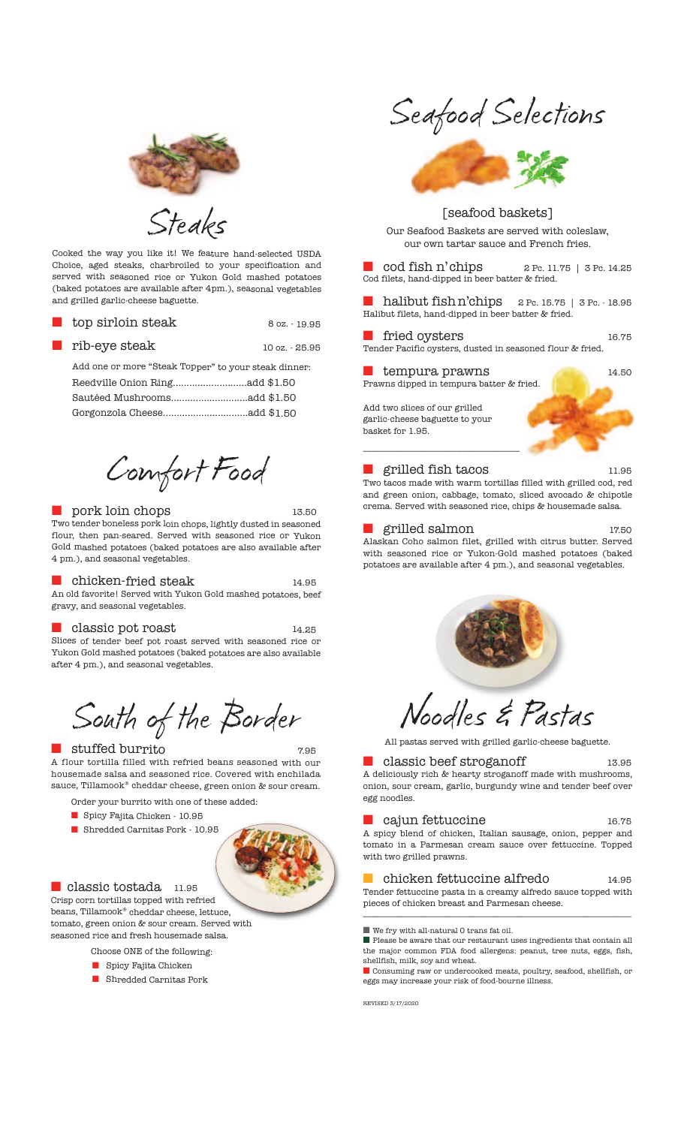

Steaks

Cooked the way you like it! We feature hand-selected USDA Choice, aged steaks, charbroiled to your specification and served with seasoned rice or Yukon Gold mashed potatoes (baked potatoes are available after 4pm.), seasonal vegetables and grilled garlic-cheese baguette.

| $\blacksquare$ top sirloin steak                     | 8 oz. - 19.95  |
|------------------------------------------------------|----------------|
| $\blacksquare$ rib-eye steak                         | 10 oz. - 25.95 |
| Add one or more "Steak Topper" to your steak dinner: |                |
|                                                      |                |
|                                                      |                |
|                                                      |                |

Comfort Food

#### ■ pork loin chops 13.50

Two tender boneless pork loin chops, lightly dusted in seasoned flour, then pan-seared. Served with seasoned rice or Yukon Gold mashed potatoes (baked potatoes are also available after 4 pm.), and seasonal vegetables.

#### chicken-fried steak 14.95

An old favorite! Served with Yukon Gold mashed potatoes, beef gravy, and seasonal vegetables.

## classic pot roast 14.25

Slices of tender beef pot roast served with seasoned rice or Yukon Gold mashed potatoes (baked potatoes are also available after 4 pm.), and seasonal vegetables.

South of the Border

#### ■ stuffed burrito 7.95

A flour tortilla filled with refried beans seasoned with our housemade salsa and seasoned rice. Covered with enchilada sauce, Tillamook® cheddar cheese, green onion & sour cream.

- Order your burrito with one of these added:
- Spicy Fajita Chicken 10.95
- Shredded Carnitas Pork 10.95



## ■ classic tostada 11.95

Crisp corn tortillas topped with refried beans, Tillamook® cheddar cheese, lettuce, tomato, green onion & sour cream. Served with seasoned rice and fresh housemade salsa.

Choose ONE of the following:

- $\blacksquare$  Spicy Fajita Chicken
- **n** Shredded Carnitas Pork

Seafood Selections



## [seafood baskets]

Our Seafood Baskets are served with coleslaw, our own tartar sauce and French fries.

 $\text{cod fish n' chips}$  2 Pc. 11.75 | 3 Pc. 14.25 Cod filets, hand-dipped in beer batter & fried.

halibut fish n'chips 2 Pc. 15.75 | 3 Pc. - 18.95 Halibut filets, hand-dipped in beer batter & fried.

■ fried oysters 16.75 Tender Pacific oysters, dusted in seasoned flour & fried.

#### ■ tempura prawns 14.50 Prawns dipped in tempura batter & fried.

Add two slices of our grilled garlic-cheese baguette to your basket for 1.95.



\_\_\_\_\_\_\_\_\_\_\_\_\_\_\_\_\_\_\_\_\_\_\_\_\_\_\_\_\_\_\_\_\_\_\_

Two tacos made with warm tortillas filled with grilled cod, red and green onion, cabbage, tomato, sliced avocado & chipotle crema. Served with seasoned rice, chips & housemade salsa.

## ■ grilled salmon 17.50

Alaskan Coho salmon filet, grilled with citrus butter. Served with seasoned rice or Yukon-Gold mashed potatoes (baked potatoes are available after 4 pm.), and seasonal vegetables.



# Noodles & Pastas

All pastas served with grilled garlic-cheese baguette.

### classic beef stroganoff 13.95

A deliciously rich & hearty stroganoff made with mushrooms, onion, sour cream, garlic, burgundy wine and tender beef over egg noodles.

## ■ cajun fettuccine 16.75

A spicy blend of chicken, Italian sausage, onion, pepper and tomato in a Parmesan cream sauce over fettuccine. Topped with two grilled prawns.

#### ■ chicken fettuccine alfredo 14.95 Tender fettuccine pasta in a creamy alfredo sauce topped with pieces of chicken breast and Parmesan cheese.

\_\_\_\_\_\_\_\_\_\_\_\_\_\_\_\_\_\_\_\_\_\_\_\_\_\_\_\_\_\_\_\_\_\_\_\_\_\_\_\_\_\_\_\_\_\_\_\_\_\_\_\_\_\_\_\_\_\_\_\_

■ We fry with all-natural 0 trans fat oil.

 $\blacksquare$  <br> Please be aware that our restaurant uses ingredients that contain all the major common FDA food allergens: peanut, tree nuts, eggs, fish, shellfish, milk, soy and wheat.

■ Consuming raw or undercooked meats, poultry, seafood, shellfish, or eggs may increase your risk of food-bourne illness.

REVISED 3/17/2020